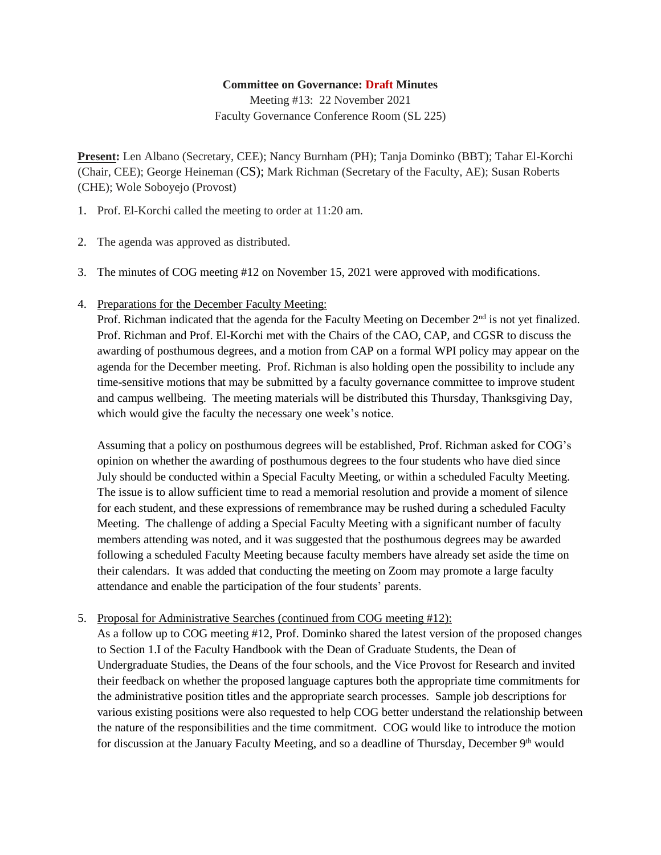## **Committee on Governance: Draft Minutes**

Meeting #13: 22 November 2021 Faculty Governance Conference Room (SL 225)

**Present:** Len Albano (Secretary, CEE); Nancy Burnham (PH); Tanja Dominko (BBT); Tahar El-Korchi (Chair, CEE); George Heineman (CS); Mark Richman (Secretary of the Faculty, AE); Susan Roberts (CHE); Wole Soboyejo (Provost)

- 1. Prof. El-Korchi called the meeting to order at 11:20 am.
- 2. The agenda was approved as distributed.
- 3. The minutes of COG meeting #12 on November 15, 2021 were approved with modifications.
- 4. Preparations for the December Faculty Meeting:

Prof. Richman indicated that the agenda for the Faculty Meeting on December  $2<sup>nd</sup>$  is not yet finalized. Prof. Richman and Prof. El-Korchi met with the Chairs of the CAO, CAP, and CGSR to discuss the awarding of posthumous degrees, and a motion from CAP on a formal WPI policy may appear on the agenda for the December meeting. Prof. Richman is also holding open the possibility to include any time-sensitive motions that may be submitted by a faculty governance committee to improve student and campus wellbeing. The meeting materials will be distributed this Thursday, Thanksgiving Day, which would give the faculty the necessary one week's notice.

Assuming that a policy on posthumous degrees will be established, Prof. Richman asked for COG's opinion on whether the awarding of posthumous degrees to the four students who have died since July should be conducted within a Special Faculty Meeting, or within a scheduled Faculty Meeting. The issue is to allow sufficient time to read a memorial resolution and provide a moment of silence for each student, and these expressions of remembrance may be rushed during a scheduled Faculty Meeting. The challenge of adding a Special Faculty Meeting with a significant number of faculty members attending was noted, and it was suggested that the posthumous degrees may be awarded following a scheduled Faculty Meeting because faculty members have already set aside the time on their calendars. It was added that conducting the meeting on Zoom may promote a large faculty attendance and enable the participation of the four students' parents.

## 5. Proposal for Administrative Searches (continued from COG meeting #12):

As a follow up to COG meeting #12, Prof. Dominko shared the latest version of the proposed changes to Section 1.I of the Faculty Handbook with the Dean of Graduate Students, the Dean of Undergraduate Studies, the Deans of the four schools, and the Vice Provost for Research and invited their feedback on whether the proposed language captures both the appropriate time commitments for the administrative position titles and the appropriate search processes. Sample job descriptions for various existing positions were also requested to help COG better understand the relationship between the nature of the responsibilities and the time commitment. COG would like to introduce the motion for discussion at the January Faculty Meeting, and so a deadline of Thursday, December  $9<sup>th</sup>$  would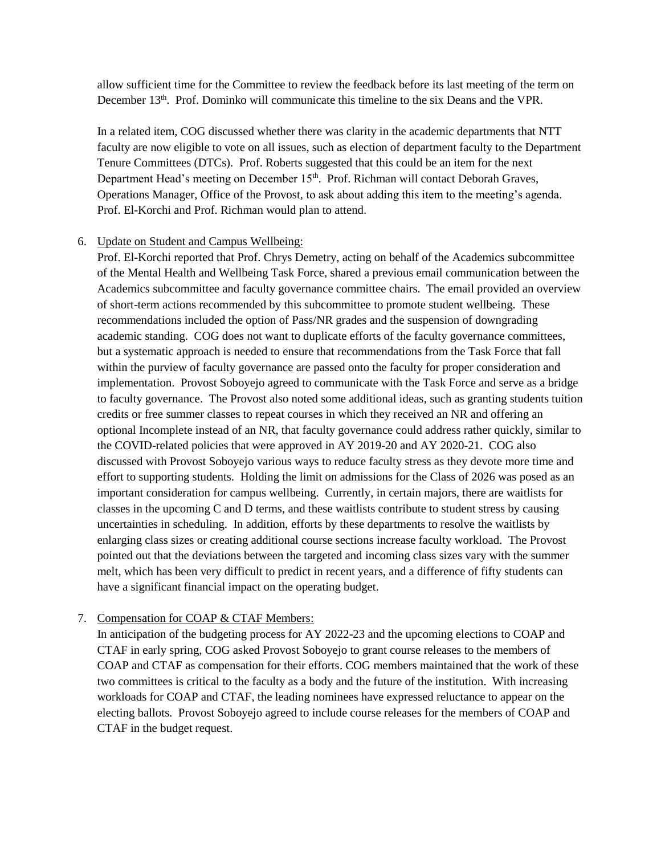allow sufficient time for the Committee to review the feedback before its last meeting of the term on December 13<sup>th</sup>. Prof. Dominko will communicate this timeline to the six Deans and the VPR.

In a related item, COG discussed whether there was clarity in the academic departments that NTT faculty are now eligible to vote on all issues, such as election of department faculty to the Department Tenure Committees (DTCs). Prof. Roberts suggested that this could be an item for the next Department Head's meeting on December 15<sup>th</sup>. Prof. Richman will contact Deborah Graves, Operations Manager, Office of the Provost, to ask about adding this item to the meeting's agenda. Prof. El-Korchi and Prof. Richman would plan to attend.

## 6. Update on Student and Campus Wellbeing:

Prof. El-Korchi reported that Prof. Chrys Demetry, acting on behalf of the Academics subcommittee of the Mental Health and Wellbeing Task Force, shared a previous email communication between the Academics subcommittee and faculty governance committee chairs. The email provided an overview of short-term actions recommended by this subcommittee to promote student wellbeing. These recommendations included the option of Pass/NR grades and the suspension of downgrading academic standing. COG does not want to duplicate efforts of the faculty governance committees, but a systematic approach is needed to ensure that recommendations from the Task Force that fall within the purview of faculty governance are passed onto the faculty for proper consideration and implementation. Provost Soboyejo agreed to communicate with the Task Force and serve as a bridge to faculty governance. The Provost also noted some additional ideas, such as granting students tuition credits or free summer classes to repeat courses in which they received an NR and offering an optional Incomplete instead of an NR, that faculty governance could address rather quickly, similar to the COVID-related policies that were approved in AY 2019-20 and AY 2020-21. COG also discussed with Provost Soboyejo various ways to reduce faculty stress as they devote more time and effort to supporting students. Holding the limit on admissions for the Class of 2026 was posed as an important consideration for campus wellbeing. Currently, in certain majors, there are waitlists for classes in the upcoming C and D terms, and these waitlists contribute to student stress by causing uncertainties in scheduling. In addition, efforts by these departments to resolve the waitlists by enlarging class sizes or creating additional course sections increase faculty workload. The Provost pointed out that the deviations between the targeted and incoming class sizes vary with the summer melt, which has been very difficult to predict in recent years, and a difference of fifty students can have a significant financial impact on the operating budget.

## 7. Compensation for COAP & CTAF Members:

In anticipation of the budgeting process for AY 2022-23 and the upcoming elections to COAP and CTAF in early spring, COG asked Provost Soboyejo to grant course releases to the members of COAP and CTAF as compensation for their efforts. COG members maintained that the work of these two committees is critical to the faculty as a body and the future of the institution. With increasing workloads for COAP and CTAF, the leading nominees have expressed reluctance to appear on the electing ballots. Provost Soboyejo agreed to include course releases for the members of COAP and CTAF in the budget request.